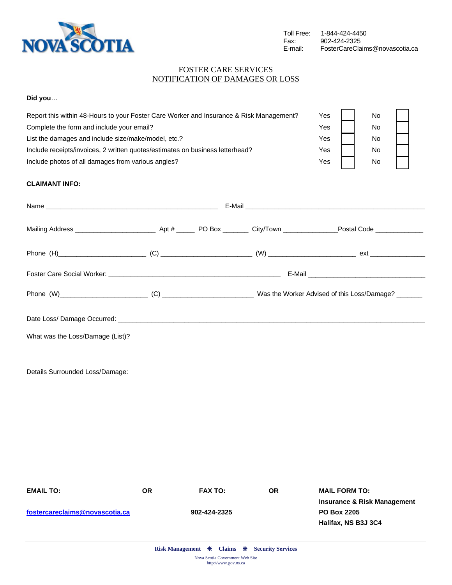

# FOSTER CARE SERVICES NOTIFICATION OF DAMAGES OR LOSS

# **Did you**…

| Report this within 48-Hours to your Foster Care Worker and Insurance & Risk Management? | Yes | No |  |
|-----------------------------------------------------------------------------------------|-----|----|--|
| Complete the form and include your email?                                               | Yes | No |  |
| List the damages and include size/make/model, etc.?                                     | Yes | No |  |
| Include receipts/invoices, 2 written quotes/estimates on business letterhead?           | Yes | No |  |
| Include photos of all damages from various angles?                                      | Yes | No |  |

# **CLAIMANT INFO:**

| What was the Loss/Damage (List)?                                                                                                                                                                                                                                                                                                                                            |           |                |           |                                                                |  |  |  |  |
|-----------------------------------------------------------------------------------------------------------------------------------------------------------------------------------------------------------------------------------------------------------------------------------------------------------------------------------------------------------------------------|-----------|----------------|-----------|----------------------------------------------------------------|--|--|--|--|
| Details Surrounded Loss/Damage:                                                                                                                                                                                                                                                                                                                                             |           |                |           |                                                                |  |  |  |  |
| <b>EMAIL TO:</b>                                                                                                                                                                                                                                                                                                                                                            | <b>OR</b> | <b>FAX TO:</b> | <b>OR</b> | <b>MAIL FORM TO:</b><br><b>Insurance &amp; Risk Management</b> |  |  |  |  |
| fostercareclaims@novascotia.ca                                                                                                                                                                                                                                                                                                                                              |           | 902-424-2325   |           | <b>PO Box 2205</b><br>Halifax, NS B3J 3C4                      |  |  |  |  |
| $\mathbf{D}^{\mathbf{A}}$ . $\mathbf{M}^{\mathbf{A}}$ . $\mathbf{M}^{\mathbf{A}}$ . $\mathbf{M}^{\mathbf{A}}$ . $\mathbf{M}^{\mathbf{A}}$ . $\mathbf{C}^{\mathbf{B}}$ . $\mathbf{M}^{\mathbf{A}}$ . $\mathbf{C}^{\mathbf{A}}$ . $\mathbf{M}^{\mathbf{A}}$ . $\mathbf{M}^{\mathbf{A}}$ . $\mathbf{M}^{\mathbf{A}}$ . $\mathbf{M}^{\mathbf{A}}$ . $\mathbf{M}^{\mathbf{A}}$ . |           |                |           |                                                                |  |  |  |  |